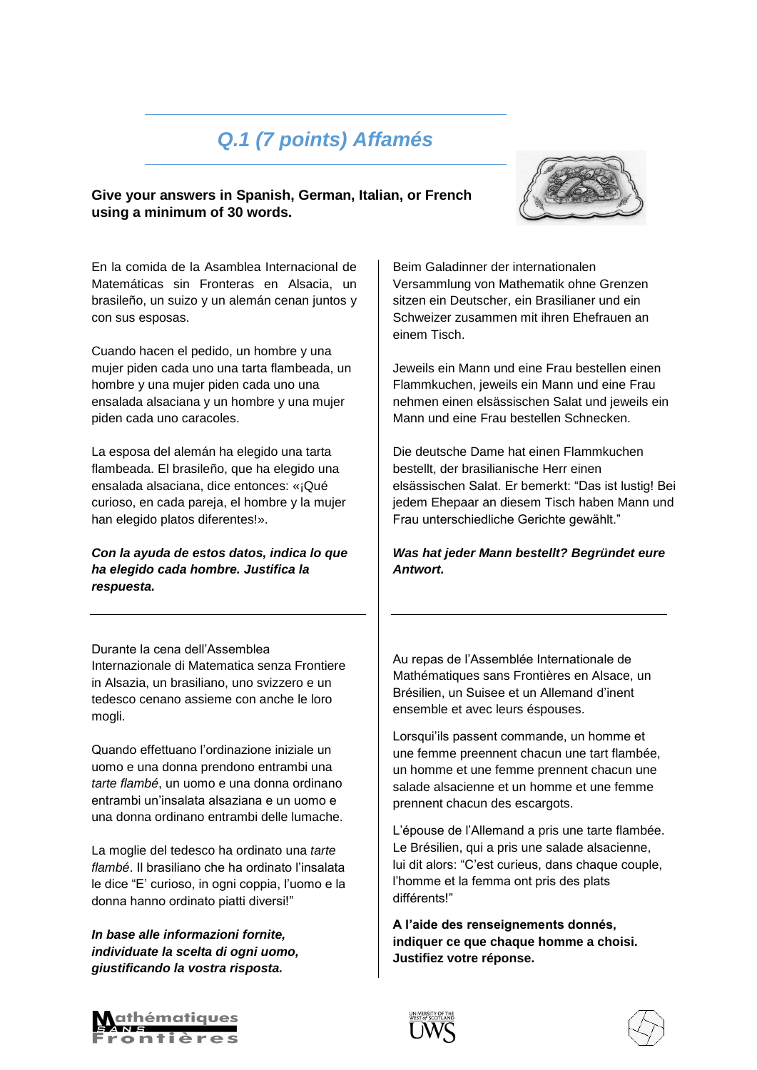### *Q.1 (7 points) Affamés*

#### **Give your answers in Spanish, German, Italian, or French using a minimum of 30 words.**



En la comida de la Asamblea Internacional de Matemáticas sin Fronteras en Alsacia, un brasileño, un suizo y un alemán cenan juntos y con sus esposas.

Cuando hacen el pedido, un hombre y una mujer piden cada uno una tarta flambeada, un hombre y una mujer piden cada uno una ensalada alsaciana y un hombre y una mujer piden cada uno caracoles.

La esposa del alemán ha elegido una tarta flambeada. El brasileño, que ha elegido una ensalada alsaciana, dice entonces: «¡Qué curioso, en cada pareja, el hombre y la mujer han elegido platos diferentes!».

*Con la ayuda de estos datos, indica lo que ha elegido cada hombre. Justifica la respuesta.* 

Durante la cena dell'Assemblea Internazionale di Matematica senza Frontiere in Alsazia, un brasiliano, uno svizzero e un tedesco cenano assieme con anche le loro mogli.

Quando effettuano l'ordinazione iniziale un uomo e una donna prendono entrambi una *tarte flambé*, un uomo e una donna ordinano entrambi un'insalata alsaziana e un uomo e una donna ordinano entrambi delle lumache.

La moglie del tedesco ha ordinato una *tarte flambé*. Il brasiliano che ha ordinato l'insalata le dice "E' curioso, in ogni coppia, l'uomo e la donna hanno ordinato piatti diversi!"

*In base alle informazioni fornite, individuate la scelta di ogni uomo, giustificando la vostra risposta.* 

Beim Galadinner der internationalen Versammlung von Mathematik ohne Grenzen sitzen ein Deutscher, ein Brasilianer und ein Schweizer zusammen mit ihren Ehefrauen an einem Tisch.

Jeweils ein Mann und eine Frau bestellen einen Flammkuchen, jeweils ein Mann und eine Frau nehmen einen elsässischen Salat und jeweils ein Mann und eine Frau bestellen Schnecken.

Die deutsche Dame hat einen Flammkuchen bestellt, der brasilianische Herr einen elsässischen Salat. Er bemerkt: "Das ist lustig! Bei jedem Ehepaar an diesem Tisch haben Mann und Frau unterschiedliche Gerichte gewählt."

*Was hat jeder Mann bestellt? Begründet eure Antwort.*

Au repas de l'Assemblée Internationale de Mathématiques sans Frontières en Alsace, un Brésilien, un Suisee et un Allemand d'inent ensemble et avec leurs éspouses.

Lorsqui'ils passent commande, un homme et une femme preennent chacun une tart flambée, un homme et une femme prennent chacun une salade alsacienne et un homme et une femme prennent chacun des escargots.

L'épouse de l'Allemand a pris une tarte flambée. Le Brésilien, qui a pris une salade alsacienne, lui dit alors: "C'est curieus, dans chaque couple, l'homme et la femma ont pris des plats différents!"

**A l'aide des renseignements donnés, indiquer ce que chaque homme a choisi. Justifiez votre réponse.**





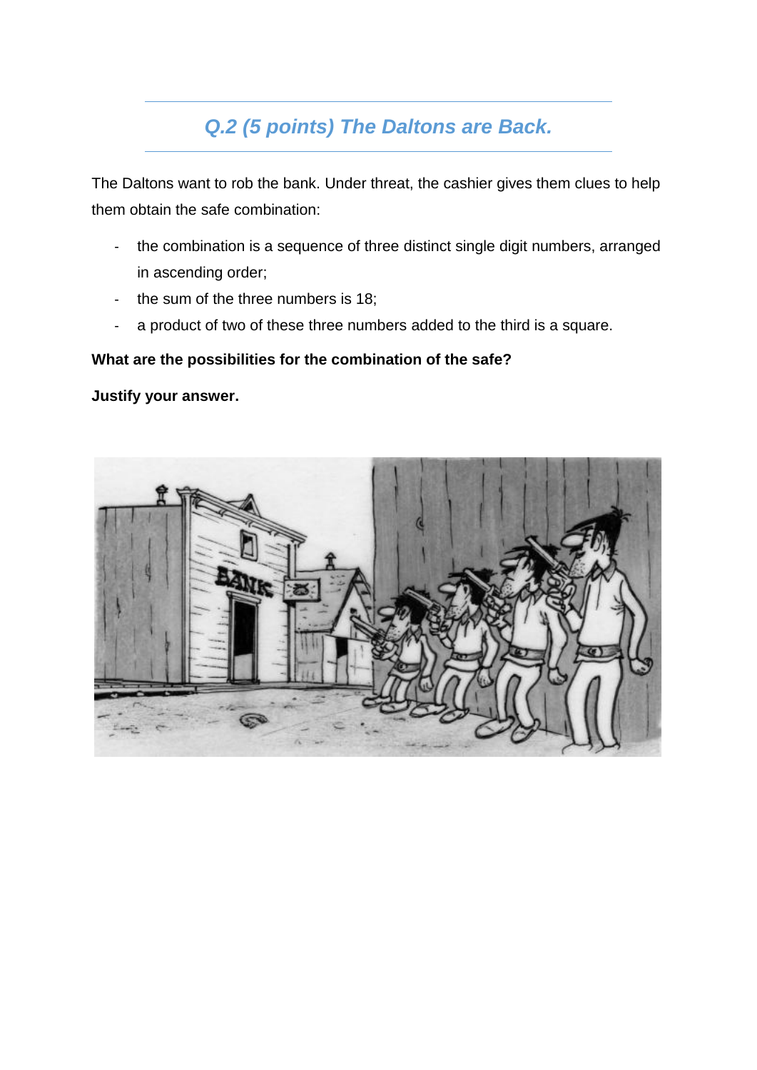## *Q.2 (5 points) The Daltons are Back.*

The Daltons want to rob the bank. Under threat, the cashier gives them clues to help them obtain the safe combination:

- the combination is a sequence of three distinct single digit numbers, arranged in ascending order;
- the sum of the three numbers is 18;
- a product of two of these three numbers added to the third is a square.

#### **What are the possibilities for the combination of the safe?**

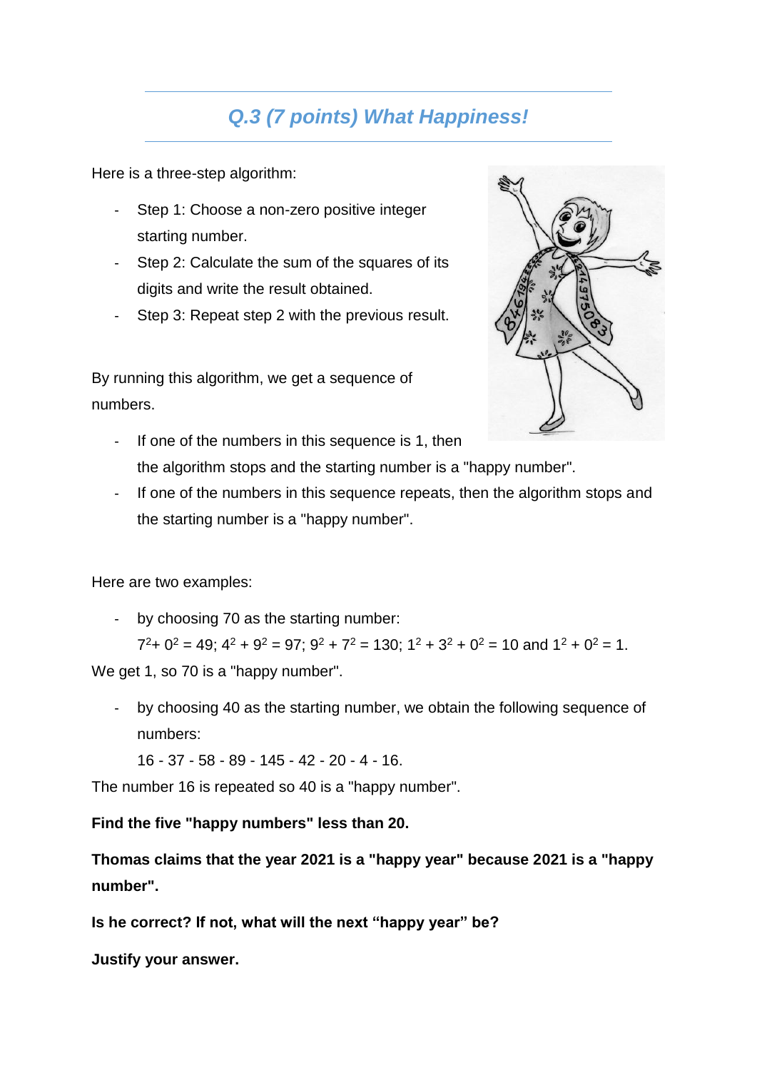### *Q.3 (7 points) What Happiness!*

Here is a three-step algorithm:

- Step 1: Choose a non-zero positive integer starting number.
- Step 2: Calculate the sum of the squares of its digits and write the result obtained.
- Step 3: Repeat step 2 with the previous result.

By running this algorithm, we get a sequence of numbers.



- If one of the numbers in this sequence is 1, then the algorithm stops and the starting number is a "happy number".
- If one of the numbers in this sequence repeats, then the algorithm stops and the starting number is a "happy number".

Here are two examples:

- by choosing 70 as the starting number:

 $7^2$ + 0<sup>2</sup> = 49; 4<sup>2</sup> + 9<sup>2</sup> = 97; 9<sup>2</sup> + 7<sup>2</sup> = 130; 1<sup>2</sup> + 3<sup>2</sup> + 0<sup>2</sup> = 10 and 1<sup>2</sup> + 0<sup>2</sup> = 1. We get 1, so 70 is a "happy number".

- by choosing 40 as the starting number, we obtain the following sequence of numbers:

16 - 37 - 58 - 89 - 145 - 42 - 20 - 4 - 16.

The number 16 is repeated so 40 is a "happy number".

#### **Find the five "happy numbers" less than 20.**

**Thomas claims that the year 2021 is a "happy year" because 2021 is a "happy number".**

**Is he correct? If not, what will the next "happy year" be?**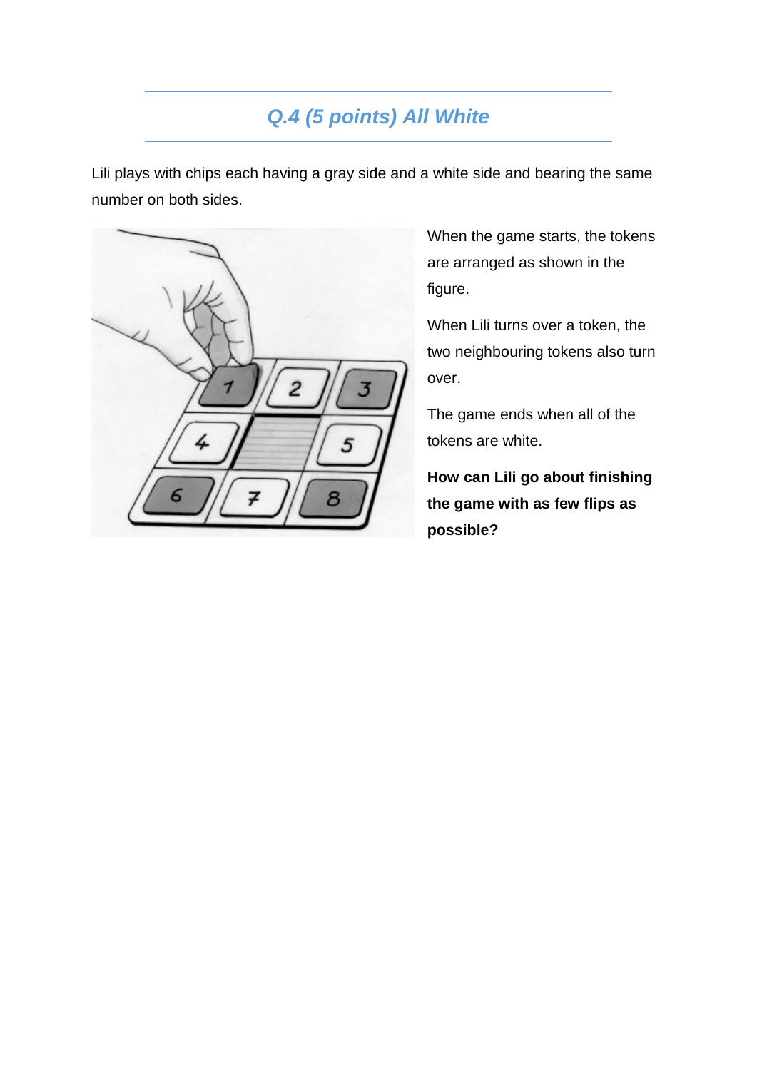### *Q.4 (5 points) All White*

Lili plays with chips each having a gray side and a white side and bearing the same number on both sides.



When the game starts, the tokens are arranged as shown in the figure.

When Lili turns over a token, the two neighbouring tokens also turn over.

The game ends when all of the tokens are white.

**How can Lili go about finishing the game with as few flips as possible?**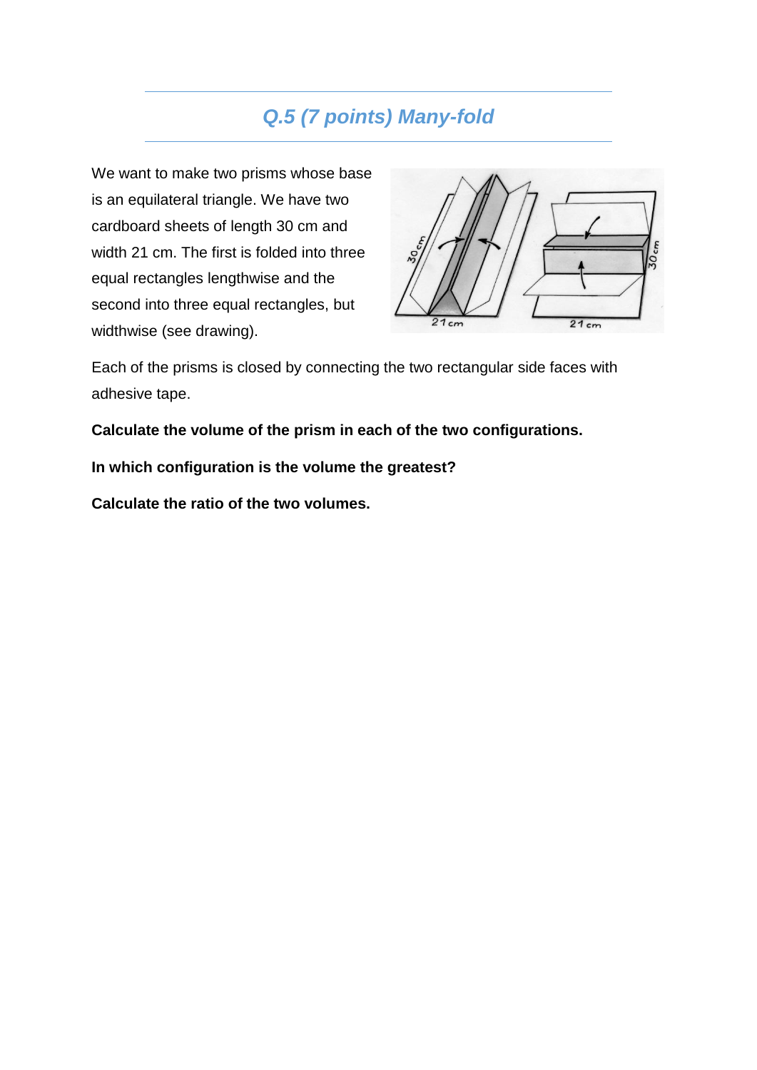#### *Q.5 (7 points) Many-fold*

We want to make two prisms whose base is an equilateral triangle. We have two cardboard sheets of length 30 cm and width 21 cm. The first is folded into three equal rectangles lengthwise and the second into three equal rectangles, but widthwise (see drawing).



Each of the prisms is closed by connecting the two rectangular side faces with adhesive tape.

**Calculate the volume of the prism in each of the two configurations.**

**In which configuration is the volume the greatest?**

**Calculate the ratio of the two volumes.**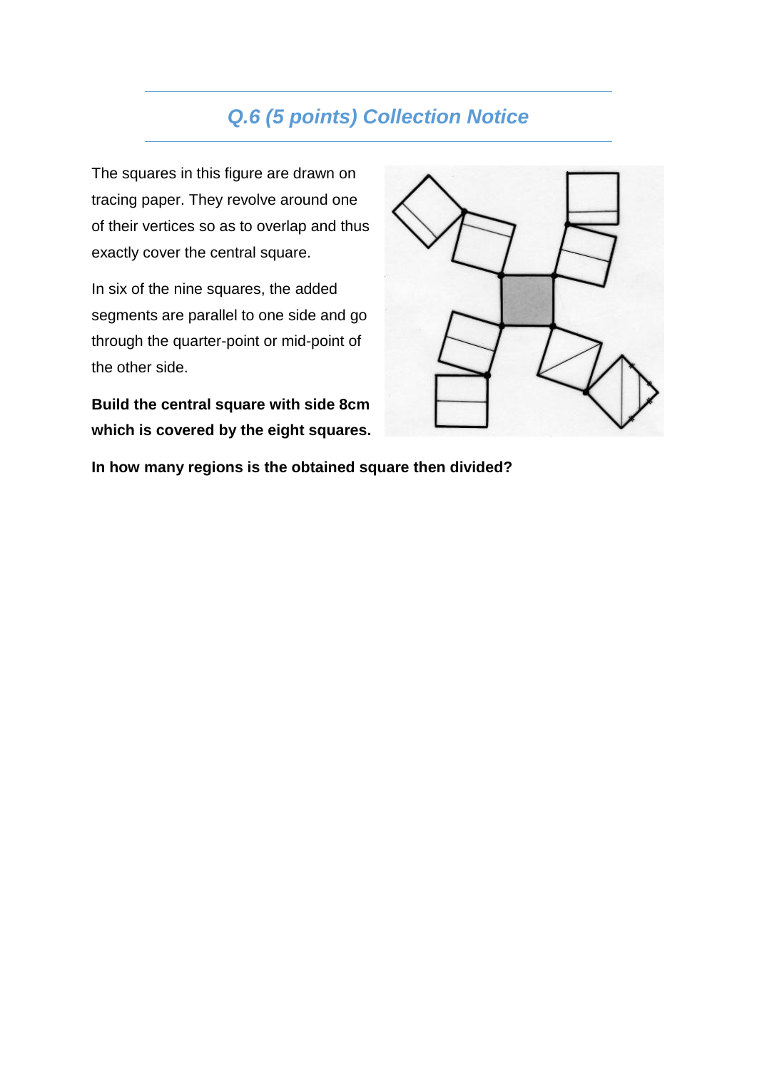#### *Q.6 (5 points) Collection Notice*

The squares in this figure are drawn on tracing paper. They revolve around one of their vertices so as to overlap and thus exactly cover the central square.

In six of the nine squares, the added segments are parallel to one side and go through the quarter-point or mid-point of the other side.

**Build the central square with side 8cm which is covered by the eight squares.**



**In how many regions is the obtained square then divided?**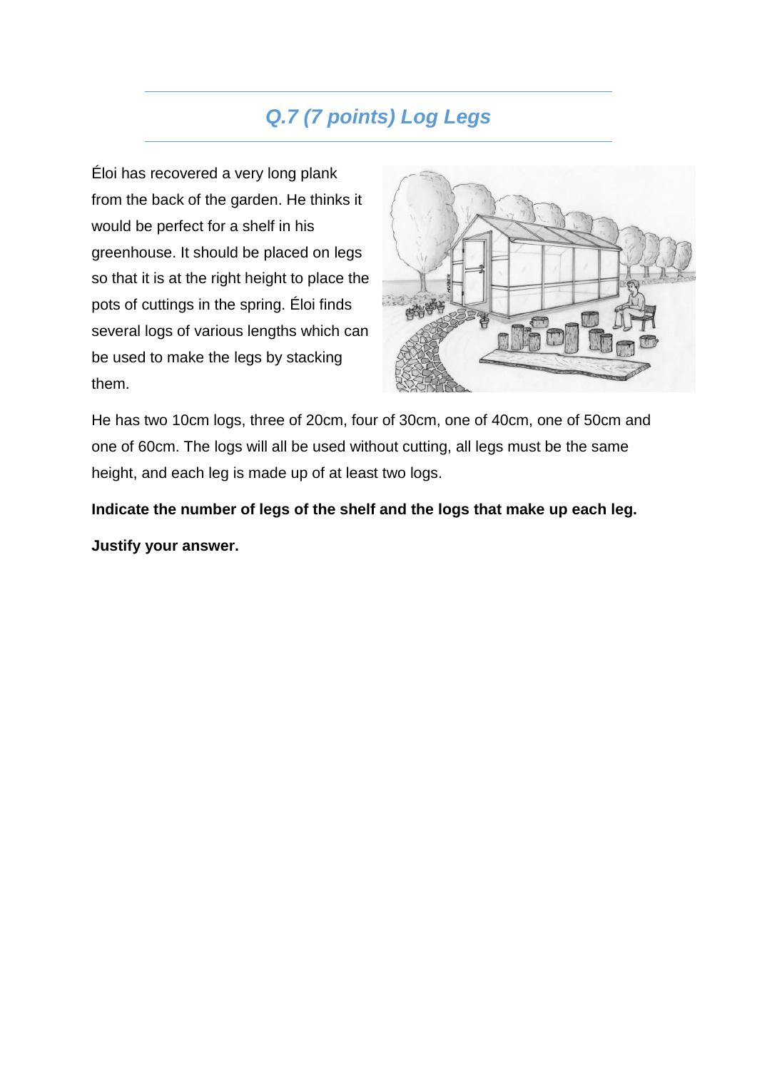### *Q.7 (7 points) Log Legs*

Éloi has recovered a very long plank from the back of the garden. He thinks it would be perfect for a shelf in his greenhouse. It should be placed on legs so that it is at the right height to place the pots of cuttings in the spring. Éloi finds several logs of various lengths which can be used to make the legs by stacking them.



He has two 10cm logs, three of 20cm, four of 30cm, one of 40cm, one of 50cm and one of 60cm. The logs will all be used without cutting, all legs must be the same height, and each leg is made up of at least two logs.

**Indicate the number of legs of the shelf and the logs that make up each leg.**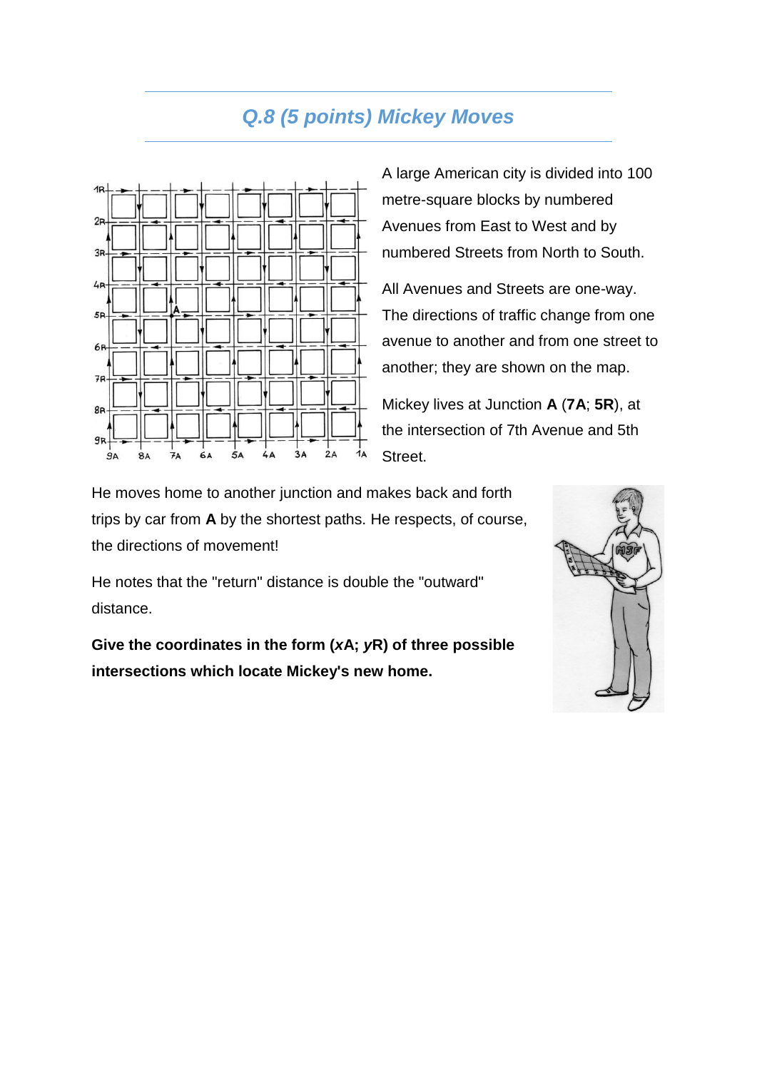#### *Q.8 (5 points) Mickey Moves*



A large American city is divided into 100 metre-square blocks by numbered Avenues from East to West and by numbered Streets from North to South.

All Avenues and Streets are one-way. The directions of traffic change from one avenue to another and from one street to another; they are shown on the map.

Mickey lives at Junction **A** (**7A**; **5R**), at the intersection of 7th Avenue and 5th Street.

He moves home to another junction and makes back and forth trips by car from **A** by the shortest paths. He respects, of course, the directions of movement!

He notes that the "return" distance is double the "outward" distance.

**Give the coordinates in the form (***x***A;** *y***R) of three possible intersections which locate Mickey's new home.**

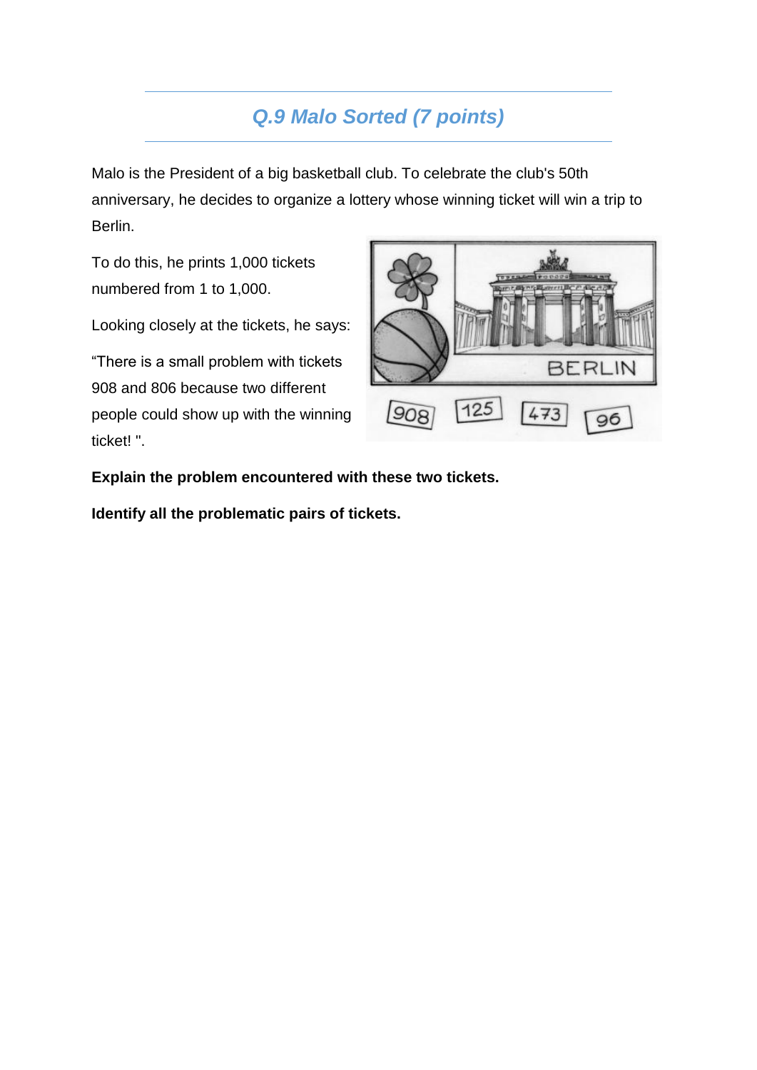### *Q.9 Malo Sorted (7 points)*

Malo is the President of a big basketball club. To celebrate the club's 50th anniversary, he decides to organize a lottery whose winning ticket will win a trip to Berlin.

To do this, he prints 1,000 tickets numbered from 1 to 1,000.

Looking closely at the tickets, he says:

"There is a small problem with tickets 908 and 806 because two different people could show up with the winning ticket! ".



**Explain the problem encountered with these two tickets.**

**Identify all the problematic pairs of tickets.**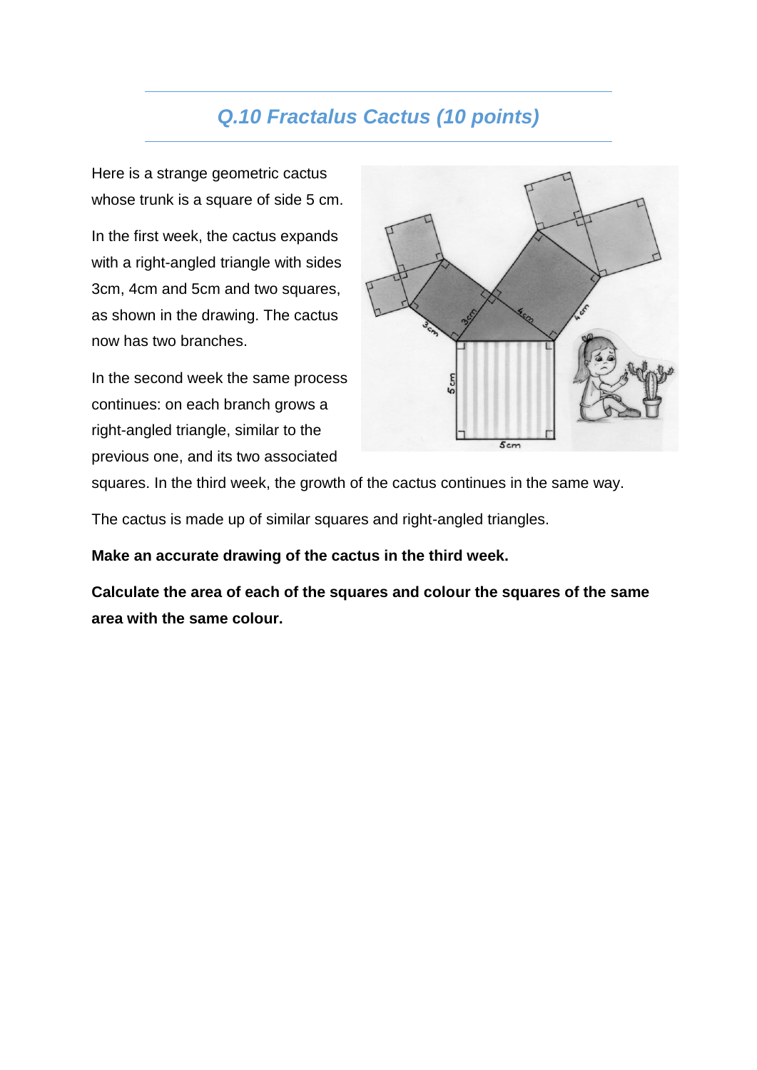#### *Q.10 Fractalus Cactus (10 points)*

Here is a strange geometric cactus whose trunk is a square of side 5 cm.

In the first week, the cactus expands with a right-angled triangle with sides 3cm, 4cm and 5cm and two squares, as shown in the drawing. The cactus now has two branches.

In the second week the same process continues: on each branch grows a right-angled triangle, similar to the previous one, and its two associated



squares. In the third week, the growth of the cactus continues in the same way.

The cactus is made up of similar squares and right-angled triangles.

**Make an accurate drawing of the cactus in the third week.**

**Calculate the area of each of the squares and colour the squares of the same area with the same colour.**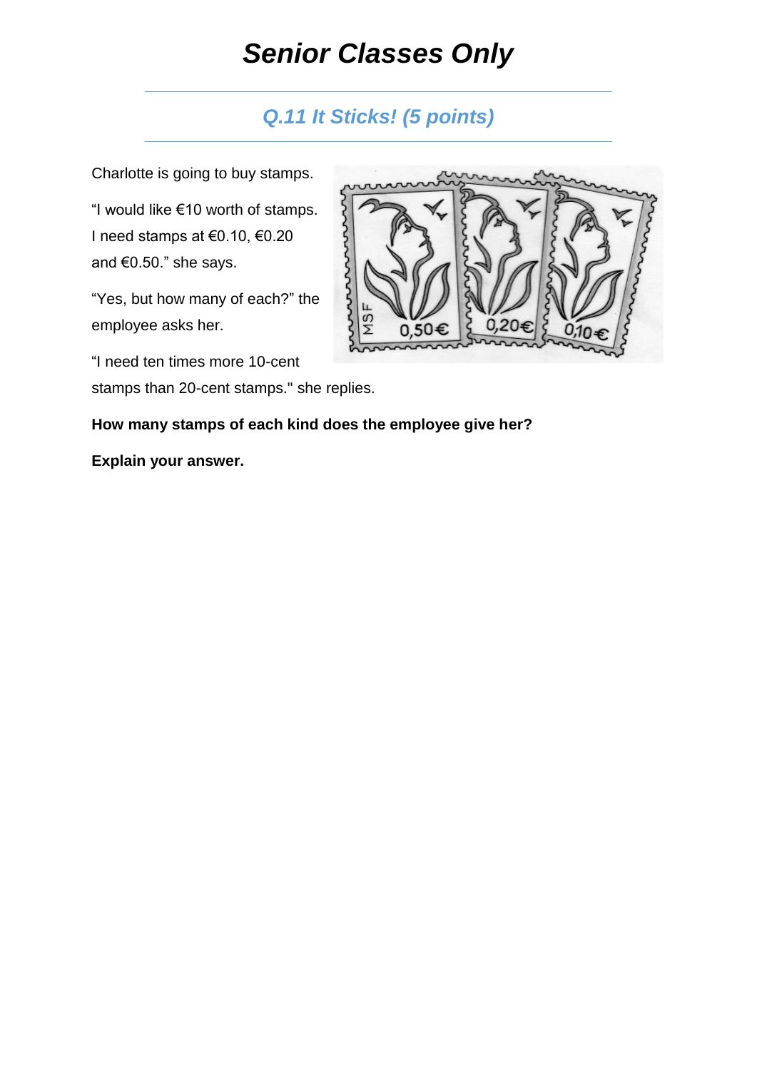# *Senior Classes Only*

#### *Q.11 It Sticks! (5 points)*

Charlotte is going to buy stamps.

"I would like €10 worth of stamps. I need stamps at €0.10, €0.20 and €0.50." she says.

"Yes, but how many of each?" the employee asks her.

"I need ten times more 10-cent

stamps than 20-cent stamps." she replies.



#### **How many stamps of each kind does the employee give her?**

#### **Explain your answer.**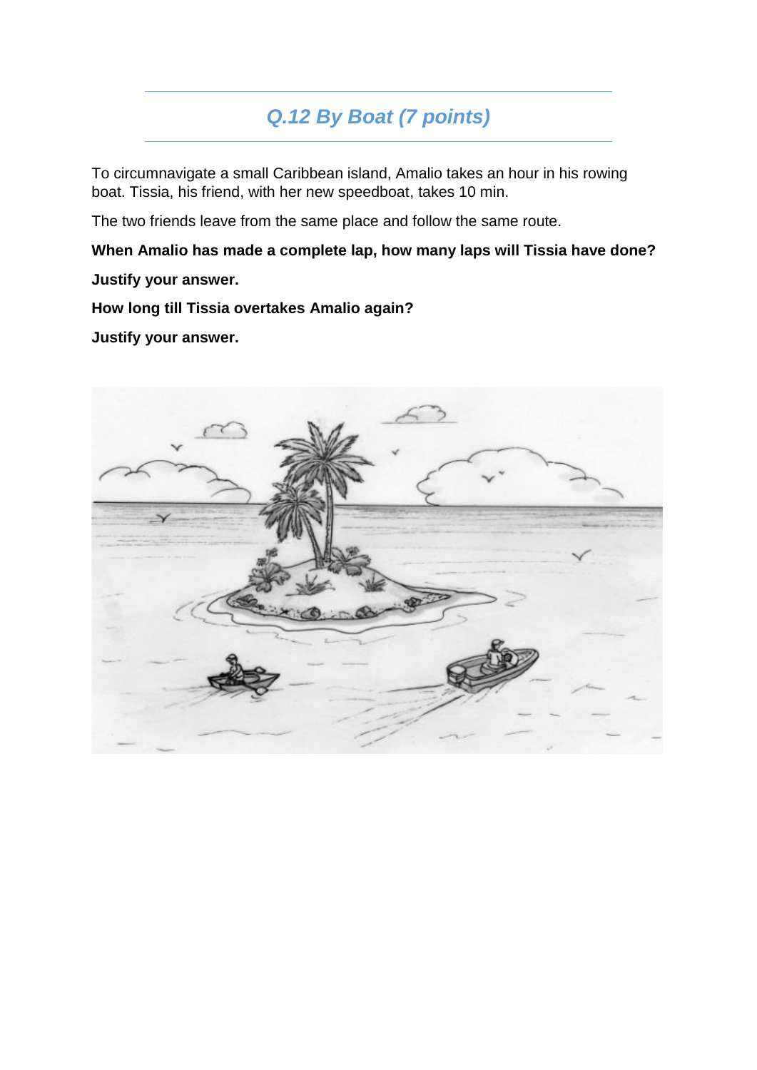### *Q.12 By Boat (7 points)*

To circumnavigate a small Caribbean island, Amalio takes an hour in his rowing boat. Tissia, his friend, with her new speedboat, takes 10 min.

The two friends leave from the same place and follow the same route.

**When Amalio has made a complete lap, how many laps will Tissia have done?**

**Justify your answer.**

**How long till Tissia overtakes Amalio again?**